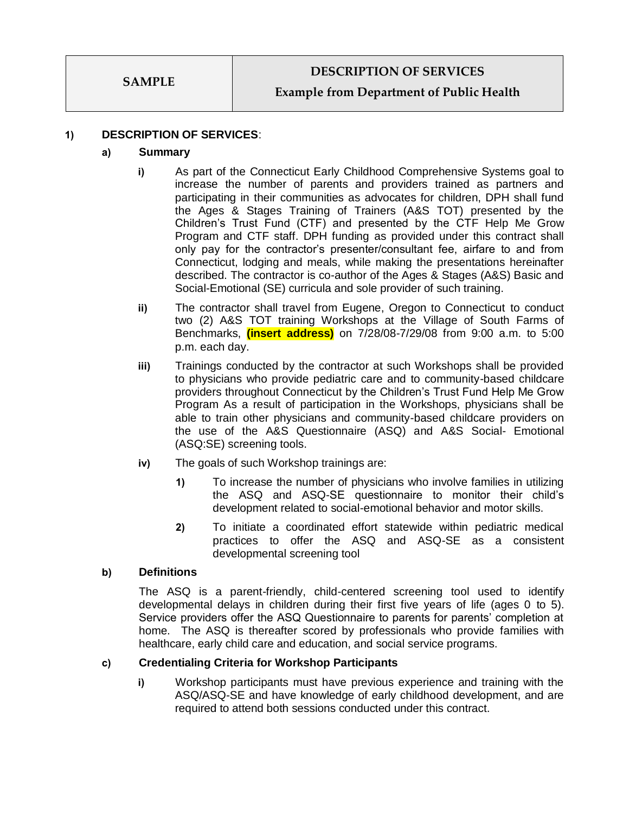## **Example from Department of Public Health**

#### **1) DESCRIPTION OF SERVICES**:

#### **a) Summary**

- **i)** As part of the Connecticut Early Childhood Comprehensive Systems goal to increase the number of parents and providers trained as partners and participating in their communities as advocates for children, DPH shall fund the Ages & Stages Training of Trainers (A&S TOT) presented by the Children's Trust Fund (CTF) and presented by the CTF Help Me Grow Program and CTF staff. DPH funding as provided under this contract shall only pay for the contractor's presenter/consultant fee, airfare to and from Connecticut, lodging and meals, while making the presentations hereinafter described. The contractor is co-author of the Ages & Stages (A&S) Basic and Social-Emotional (SE) curricula and sole provider of such training.
- **ii)** The contractor shall travel from Eugene, Oregon to Connecticut to conduct two (2) A&S TOT training Workshops at the Village of South Farms of Benchmarks, **(insert address)** on 7/28/08-7/29/08 from 9:00 a.m. to 5:00 p.m. each day.
- **iii)** Trainings conducted by the contractor at such Workshops shall be provided to physicians who provide pediatric care and to community-based childcare providers throughout Connecticut by the Children's Trust Fund Help Me Grow Program As a result of participation in the Workshops, physicians shall be able to train other physicians and community-based childcare providers on the use of the A&S Questionnaire (ASQ) and A&S Social- Emotional (ASQ:SE) screening tools.
- **iv)** The goals of such Workshop trainings are:
	- **1)** To increase the number of physicians who involve families in utilizing the ASQ and ASQ-SE questionnaire to monitor their child's development related to social-emotional behavior and motor skills.
	- **2)** To initiate a coordinated effort statewide within pediatric medical practices to offer the ASQ and ASQ-SE as a consistent developmental screening tool

#### **b) Definitions**

The ASQ is a parent-friendly, child-centered screening tool used to identify developmental delays in children during their first five years of life (ages 0 to 5). Service providers offer the ASQ Questionnaire to parents for parents' completion at home. The ASQ is thereafter scored by professionals who provide families with healthcare, early child care and education, and social service programs.

#### **c) Credentialing Criteria for Workshop Participants**

**i)** Workshop participants must have previous experience and training with the ASQ/ASQ-SE and have knowledge of early childhood development, and are required to attend both sessions conducted under this contract.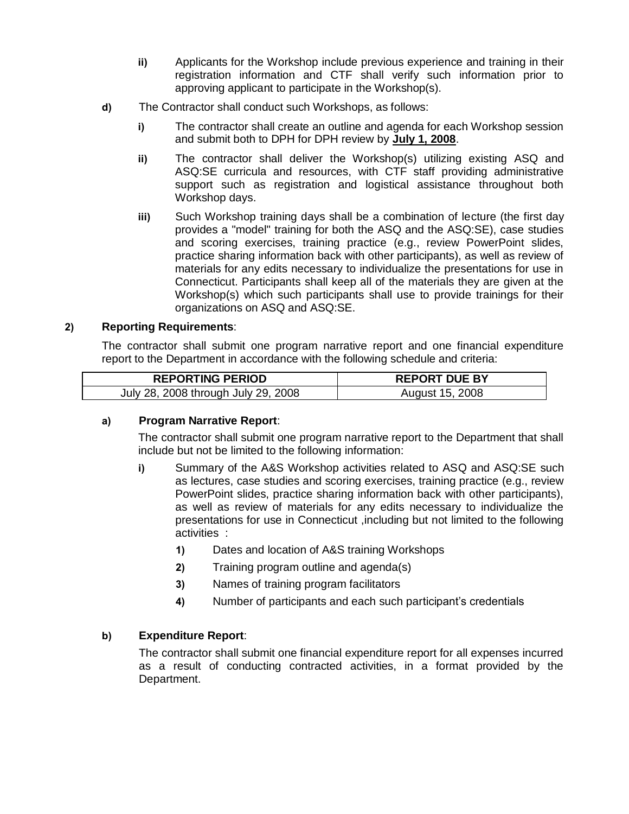- **ii)** Applicants for the Workshop include previous experience and training in their registration information and CTF shall verify such information prior to approving applicant to participate in the Workshop(s).
- **d)** The Contractor shall conduct such Workshops, as follows:
	- **i)** The contractor shall create an outline and agenda for each Workshop session and submit both to DPH for DPH review by **July 1, 2008**.
	- **ii)** The contractor shall deliver the Workshop(s) utilizing existing ASQ and ASQ:SE curricula and resources, with CTF staff providing administrative support such as registration and logistical assistance throughout both Workshop days.
	- **iii)** Such Workshop training days shall be a combination of lecture (the first day provides a "model" training for both the ASQ and the ASQ:SE), case studies and scoring exercises, training practice (e.g., review PowerPoint slides, practice sharing information back with other participants), as well as review of materials for any edits necessary to individualize the presentations for use in Connecticut. Participants shall keep all of the materials they are given at the Workshop(s) which such participants shall use to provide trainings for their organizations on ASQ and ASQ:SE.

## **2) Reporting Requirements**:

The contractor shall submit one program narrative report and one financial expenditure report to the Department in accordance with the following schedule and criteria:

| <b>REPORTING PERIOD</b>             | <b>REPORT DUE BY</b> |
|-------------------------------------|----------------------|
| July 28, 2008 through July 29, 2008 | August 15, 2008      |

## **a) Program Narrative Report**:

The contractor shall submit one program narrative report to the Department that shall include but not be limited to the following information:

- **i)** Summary of the A&S Workshop activities related to ASQ and ASQ:SE such as lectures, case studies and scoring exercises, training practice (e.g., review PowerPoint slides, practice sharing information back with other participants), as well as review of materials for any edits necessary to individualize the presentations for use in Connecticut ,including but not limited to the following activities :
	- **1)** Dates and location of A&S training Workshops
	- **2)** Training program outline and agenda(s)
	- **3)** Names of training program facilitators
	- **4)** Number of participants and each such participant's credentials

## **b) Expenditure Report**:

The contractor shall submit one financial expenditure report for all expenses incurred as a result of conducting contracted activities, in a format provided by the Department.